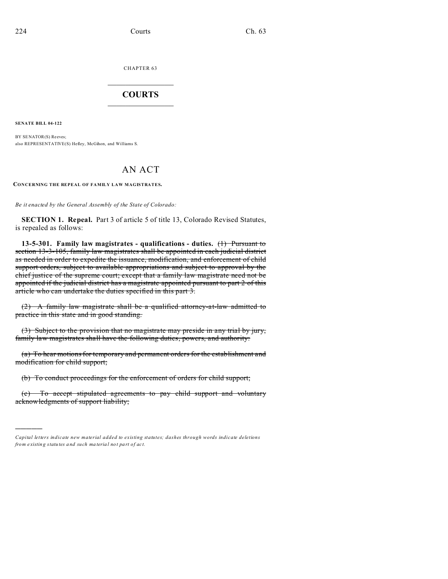CHAPTER 63  $\overline{\phantom{a}}$  , where  $\overline{\phantom{a}}$ 

## **COURTS**  $\_$

**SENATE BILL 04-122**

)))))

BY SENATOR(S) Reeves; also REPRESENTATIVE(S) Hefley, McGihon, and Williams S.

## AN ACT

**CONCERNING THE REPEAL OF FAMILY LAW MAGISTRATES.**

*Be it enacted by the General Assembly of the State of Colorado:*

**SECTION 1. Repeal.** Part 3 of article 5 of title 13, Colorado Revised Statutes, is repealed as follows:

**13-5-301. Family law magistrates - qualifications - duties.** (1) Pursuant to section 13-3-105, family law magistrates shall be appointed in each judicial district as needed in order to expedite the issuance, modification, and enforcement of child support orders, subject to available appropriations and subject to approval by the chief justice of the supreme court; except that a family law magistrate need not be appointed if the judicial district has a magistrate appointed pursuant to part 2 of this article who can undertake the duties specified in this part 3.

(2) A family law magistrate shall be a qualified attorney-at-law admitted to practice in this state and in good standing.

(3) Subject to the provision that no magistrate may preside in any trial by jury, family law magistrates shall have the following duties, powers, and authority:

(a) To hear motions for temporary and permanent orders for the establishment and modification for child support;

(b) To conduct proceedings for the enforcement of orders for child support;

(c) To accept stipulated agreements to pay child support and voluntary acknowledgments of support liability;

*Capital letters indicate new material added to existing statutes; dashes through words indicate deletions from e xistin g statu tes a nd such ma teria l no t pa rt of ac t.*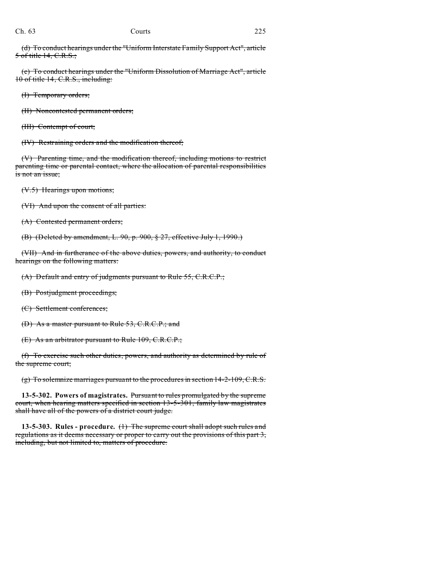(d) To conduct hearings under the "Uniform Interstate Family Support Act", article 5 of title 14, C.R.S.;

(e) To conduct hearings under the "Uniform Dissolution of Marriage Act", article 10 of title 14, C.R.S., including:

(I) Temporary orders;

(II) Noncontested permanent orders;

(III) Contempt of court;

(IV) Restraining orders and the modification thereof;

(V) Parenting time, and the modification thereof, including motions to restrict parenting time or parental contact, where the allocation of parental responsibilities is not an issue;

(V.5) Hearings upon motions;

(VI) And upon the consent of all parties:

(A) Contested permanent orders;

(B) (Deleted by amendment, L. 90, p. 900, § 27, effective July 1, 1990.)

(VII) And in furtherance of the above duties, powers, and authority, to conduct hearings on the following matters:

(A) Default and entry of judgments pursuant to Rule 55, C.R.C.P.;

(B) Postjudgment proceedings;

(C) Settlement conferences;

(D) As a master pursuant to Rule 53, C.R.C.P.; and

(E) As an arbitrator pursuant to Rule 109, C.R.C.P.;

(f) To exercise such other duties, powers, and authority as determined by rule of the supreme court;

(g) To solemnize marriages pursuant to the procedures in section 14-2-109, C.R.S.

**13-5-302. Powers of magistrates.** Pursuant to rules promulgated by the supreme court, when hearing matters specified in section 13-5-301, family law magistrates shall have all of the powers of a district court judge.

**13-5-303. Rules - procedure.** (1) The supreme court shall adopt such rules and regulations as it deems necessary or proper to carry out the provisions of this part  $3$ , including, but not limited to, matters of procedure.